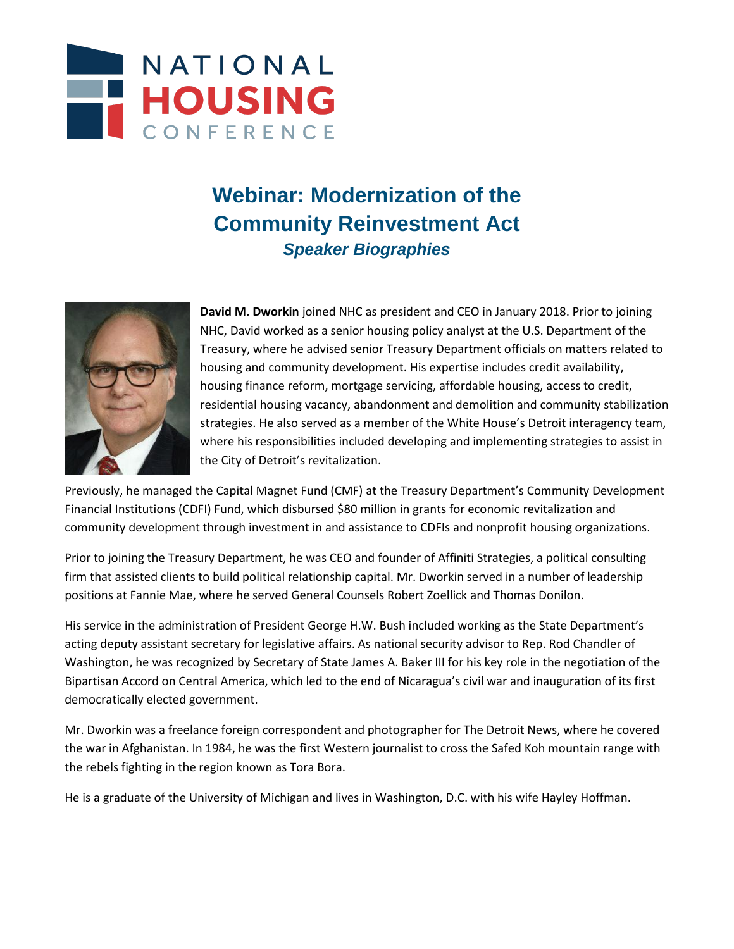

## **Webinar: Modernization of the Community Reinvestment Act** *Speaker Biographies*



**David M. Dworkin** joined NHC as president and CEO in January 2018. Prior to joining NHC, David worked as a senior housing policy analyst at the U.S. Department of the Treasury, where he advised senior Treasury Department officials on matters related to housing and community development. His expertise includes credit availability, housing finance reform, mortgage servicing, affordable housing, access to credit, residential housing vacancy, abandonment and demolition and community stabilization strategies. He also served as a member of the White House's Detroit interagency team, where his responsibilities included developing and implementing strategies to assist in the City of Detroit's revitalization.

Previously, he managed the Capital Magnet Fund (CMF) at the Treasury Department's Community Development Financial Institutions (CDFI) Fund, which disbursed \$80 million in grants for economic revitalization and community development through investment in and assistance to CDFIs and nonprofit housing organizations.

Prior to joining the Treasury Department, he was CEO and founder of Affiniti Strategies, a political consulting firm that assisted clients to build political relationship capital. Mr. Dworkin served in a number of leadership positions at Fannie Mae, where he served General Counsels Robert Zoellick and Thomas Donilon.

His service in the administration of President George H.W. Bush included working as the State Department's acting deputy assistant secretary for legislative affairs. As national security advisor to Rep. Rod Chandler of Washington, he was recognized by Secretary of State James A. Baker III for his key role in the negotiation of the Bipartisan Accord on Central America, which led to the end of Nicaragua's civil war and inauguration of its first democratically elected government.

Mr. Dworkin was a freelance foreign correspondent and photographer for The Detroit News, where he covered the war in Afghanistan. In 1984, he was the first Western journalist to cross the Safed Koh mountain range with the rebels fighting in the region known as Tora Bora.

He is a graduate of the University of Michigan and lives in Washington, D.C. with his wife Hayley Hoffman.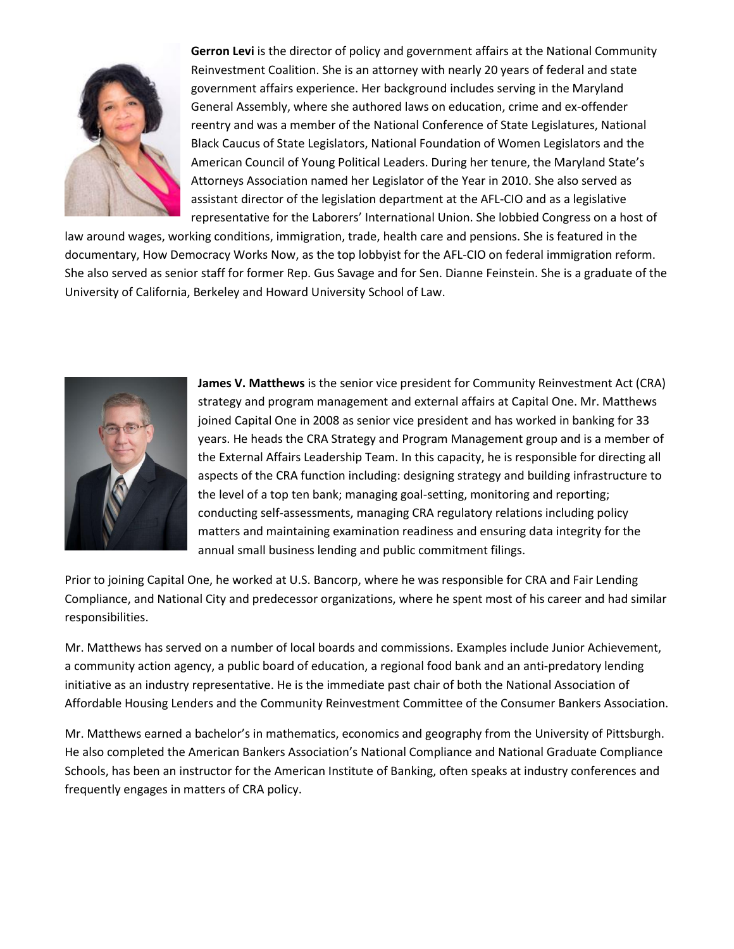

**Gerron Levi** is the director of policy and government affairs at the National Community Reinvestment Coalition. She is an attorney with nearly 20 years of federal and state government affairs experience. Her background includes serving in the Maryland General Assembly, where she authored laws on education, crime and ex-offender reentry and was a member of the National Conference of State Legislatures, National Black Caucus of State Legislators, National Foundation of Women Legislators and the American Council of Young Political Leaders. During her tenure, the Maryland State's Attorneys Association named her Legislator of the Year in 2010. She also served as assistant director of the legislation department at the AFL-CIO and as a legislative representative for the Laborers' International Union. She lobbied Congress on a host of

law around wages, working conditions, immigration, trade, health care and pensions. She is featured in the documentary, How Democracy Works Now, as the top lobbyist for the AFL-CIO on federal immigration reform. She also served as senior staff for former Rep. Gus Savage and for Sen. Dianne Feinstein. She is a graduate of the University of California, Berkeley and Howard University School of Law.



**James V. Matthews** is the senior vice president for Community Reinvestment Act (CRA) strategy and program management and external affairs at Capital One. Mr. Matthews joined Capital One in 2008 as senior vice president and has worked in banking for 33 years. He heads the CRA Strategy and Program Management group and is a member of the External Affairs Leadership Team. In this capacity, he is responsible for directing all aspects of the CRA function including: designing strategy and building infrastructure to the level of a top ten bank; managing goal-setting, monitoring and reporting; conducting self-assessments, managing CRA regulatory relations including policy matters and maintaining examination readiness and ensuring data integrity for the annual small business lending and public commitment filings.

Prior to joining Capital One, he worked at U.S. Bancorp, where he was responsible for CRA and Fair Lending Compliance, and National City and predecessor organizations, where he spent most of his career and had similar responsibilities.

Mr. Matthews has served on a number of local boards and commissions. Examples include Junior Achievement, a community action agency, a public board of education, a regional food bank and an anti-predatory lending initiative as an industry representative. He is the immediate past chair of both the National Association of Affordable Housing Lenders and the Community Reinvestment Committee of the Consumer Bankers Association.

Mr. Matthews earned a bachelor's in mathematics, economics and geography from the University of Pittsburgh. He also completed the American Bankers Association's National Compliance and National Graduate Compliance Schools, has been an instructor for the American Institute of Banking, often speaks at industry conferences and frequently engages in matters of CRA policy.